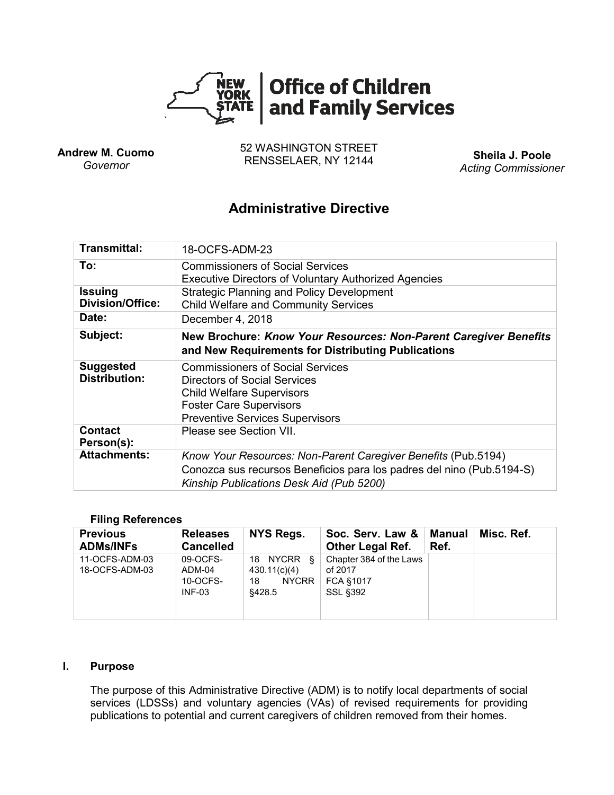

**Andrew M. Cuomo** *Governor*

52 WASHINGTON STREET RENSSELAER, NY 12144 **Sheila J. Poole**

*Acting Commissioner*

# **Administrative Directive**

| Transmittal:                              | 18-OCFS-ADM-23                                                                                                                                                                          |  |  |  |  |
|-------------------------------------------|-----------------------------------------------------------------------------------------------------------------------------------------------------------------------------------------|--|--|--|--|
| To:                                       | <b>Commissioners of Social Services</b><br><b>Executive Directors of Voluntary Authorized Agencies</b>                                                                                  |  |  |  |  |
| <b>Issuing</b><br><b>Division/Office:</b> | <b>Strategic Planning and Policy Development</b><br><b>Child Welfare and Community Services</b>                                                                                         |  |  |  |  |
| Date:                                     | December 4, 2018                                                                                                                                                                        |  |  |  |  |
| Subject:                                  | New Brochure: Know Your Resources: Non-Parent Caregiver Benefits<br>and New Requirements for Distributing Publications                                                                  |  |  |  |  |
| <b>Suggested</b><br><b>Distribution:</b>  | <b>Commissioners of Social Services</b><br>Directors of Social Services<br><b>Child Welfare Supervisors</b><br><b>Foster Care Supervisors</b><br><b>Preventive Services Supervisors</b> |  |  |  |  |
| <b>Contact</b><br>Person(s):              | Please see Section VII.                                                                                                                                                                 |  |  |  |  |
| <b>Attachments:</b>                       | Know Your Resources: Non-Parent Caregiver Benefits (Pub.5194)<br>Conozca sus recursos Beneficios para los padres del nino (Pub.5194-S)<br>Kinship Publications Desk Aid (Pub 5200)      |  |  |  |  |

#### **Filing References**

| <b>Previous</b><br><b>ADMs/INFs</b> | <b>Releases</b><br><b>Cancelled</b>        | NYS Regs.                                                  | Soc. Serv. Law &<br><b>Other Legal Ref.</b>                               | Manual<br>Ref. | Misc. Ref. |
|-------------------------------------|--------------------------------------------|------------------------------------------------------------|---------------------------------------------------------------------------|----------------|------------|
| 11-OCFS-ADM-03<br>18-OCFS-ADM-03    | 09-OCFS-<br>ADM-04<br>10-OCFS-<br>$INF-03$ | 18 NYCRR &<br>430.11(c)(4)<br><b>NYCRR</b><br>18<br>§428.5 | Chapter 384 of the Laws<br>of 2017<br><b>FCA §1017</b><br><b>SSL §392</b> |                |            |

#### **I. Purpose**

The purpose of this Administrative Directive (ADM) is to notify local departments of social services (LDSSs) and voluntary agencies (VAs) of revised requirements for providing publications to potential and current caregivers of children removed from their homes.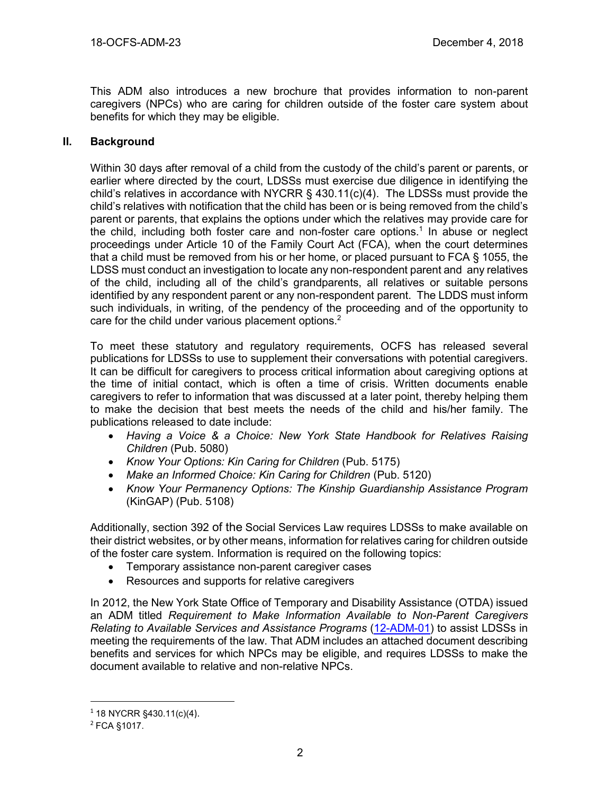This ADM also introduces a new brochure that provides information to non-parent caregivers (NPCs) who are caring for children outside of the foster care system about benefits for which they may be eligible.

## **II. Background**

Within 30 days after removal of a child from the custody of the child's parent or parents, or earlier where directed by the court, LDSSs must exercise due diligence in identifying the child's relatives in accordance with NYCRR  $\S$  430.11(c)(4). The LDSSs must provide the child's relatives with notification that the child has been or is being removed from the child's parent or parents, that explains the options under which the relatives may provide care for the child, including both foster care and non-foster care options.<sup>1</sup> In abuse or neglect proceedings under Article 10 of the Family Court Act (FCA), when the court determines that a child must be removed from his or her home, or placed pursuant to FCA § 1055, the LDSS must conduct an investigation to locate any non-respondent parent and any relatives of the child, including all of the child's grandparents, all relatives or suitable persons identified by any respondent parent or any non-respondent parent. The LDDS must inform such individuals, in writing, of the pendency of the proceeding and of the opportunity to care for the child under various placement options.<sup>2</sup>

To meet these statutory and regulatory requirements, OCFS has released several publications for LDSSs to use to supplement their conversations with potential caregivers. It can be difficult for caregivers to process critical information about caregiving options at the time of initial contact, which is often a time of crisis. Written documents enable caregivers to refer to information that was discussed at a later point, thereby helping them to make the decision that best meets the needs of the child and his/her family. The publications released to date include:

- *Having a Voice & a Choice: New York State Handbook for Relatives Raising Children* (Pub. 5080)
- *Know Your Options: Kin Caring for Children* (Pub. 5175)
- *Make an Informed Choice: Kin Caring for Children* (Pub. 5120)
- *Know Your Permanency Options: The Kinship Guardianship Assistance Program* (KinGAP) (Pub. 5108)

Additionally, section 392 of the Social Services Law requires LDSSs to make available on their district websites, or by other means, information for relatives caring for children outside of the foster care system. Information is required on the following topics:

- Temporary assistance non-parent caregiver cases
- Resources and supports for relative caregivers

In 2012, the New York State Office of Temporary and Disability Assistance (OTDA) issued an ADM titled *Requirement to Make Information Available to Non-Parent Caregivers Relating to Available Services and Assistance Programs* [\(12-ADM-01\)](http://otda.ny.gov/policy/directives/2012/ADM/12-ADM-01.pdf) to assist LDSSs in meeting the requirements of the law. That ADM includes an attached document describing benefits and services for which NPCs may be eligible, and requires LDSSs to make the document available to relative and non-relative NPCs.

 $\overline{a}$ 

 $1$  18 NYCRR §430.11(c)(4).

<sup>2</sup> FCA §1017.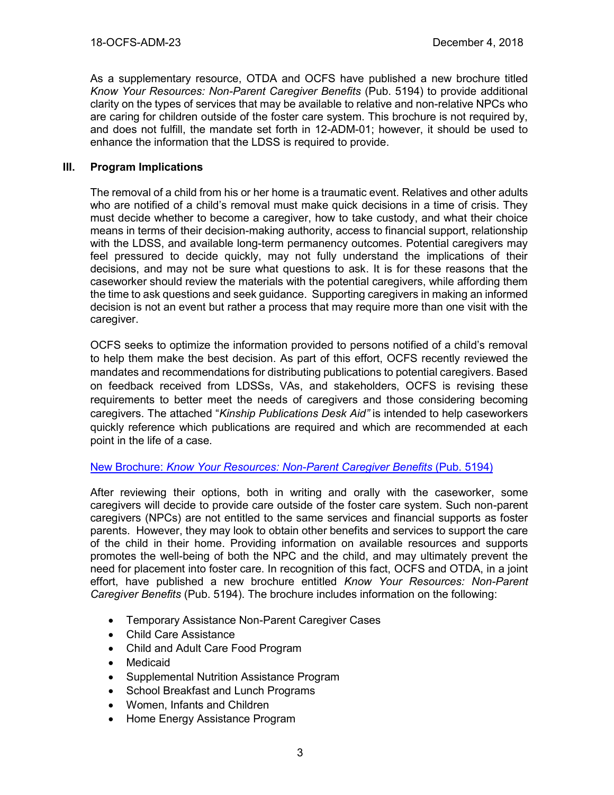As a supplementary resource, OTDA and OCFS have published a new brochure titled *Know Your Resources: Non-Parent Caregiver Benefits* (Pub. 5194) to provide additional clarity on the types of services that may be available to relative and non-relative NPCs who are caring for children outside of the foster care system. This brochure is not required by, and does not fulfill, the mandate set forth in 12-ADM-01; however, it should be used to enhance the information that the LDSS is required to provide.

## **III. Program Implications**

The removal of a child from his or her home is a traumatic event. Relatives and other adults who are notified of a child's removal must make quick decisions in a time of crisis. They must decide whether to become a caregiver, how to take custody, and what their choice means in terms of their decision-making authority, access to financial support, relationship with the LDSS, and available long-term permanency outcomes. Potential caregivers may feel pressured to decide quickly, may not fully understand the implications of their decisions, and may not be sure what questions to ask. It is for these reasons that the caseworker should review the materials with the potential caregivers, while affording them the time to ask questions and seek guidance. Supporting caregivers in making an informed decision is not an event but rather a process that may require more than one visit with the caregiver.

OCFS seeks to optimize the information provided to persons notified of a child's removal to help them make the best decision. As part of this effort, OCFS recently reviewed the mandates and recommendations for distributing publications to potential caregivers. Based on feedback received from LDSSs, VAs, and stakeholders, OCFS is revising these requirements to better meet the needs of caregivers and those considering becoming caregivers. The attached "*Kinship Publications Desk Aid"* is intended to help caseworkers quickly reference which publications are required and which are recommended at each point in the life of a case.

#### New Brochure: *[Know Your Resources: Non-Parent Caregiver Benefits](https://ocfs.ny.gov/main/publications/Pub5194.pdf)* (Pub. 5194)

After reviewing their options, both in writing and orally with the caseworker, some caregivers will decide to provide care outside of the foster care system. Such non-parent caregivers (NPCs) are not entitled to the same services and financial supports as foster parents. However, they may look to obtain other benefits and services to support the care of the child in their home. Providing information on available resources and supports promotes the well-being of both the NPC and the child, and may ultimately prevent the need for placement into foster care. In recognition of this fact, OCFS and OTDA, in a joint effort, have published a new brochure entitled *Know Your Resources: Non-Parent Caregiver Benefits* (Pub. 5194). The brochure includes information on the following:

- Temporary Assistance Non-Parent Caregiver Cases
- Child Care Assistance
- Child and Adult Care Food Program
- **Medicaid**
- Supplemental Nutrition Assistance Program
- School Breakfast and Lunch Programs
- Women, Infants and Children
- Home Energy Assistance Program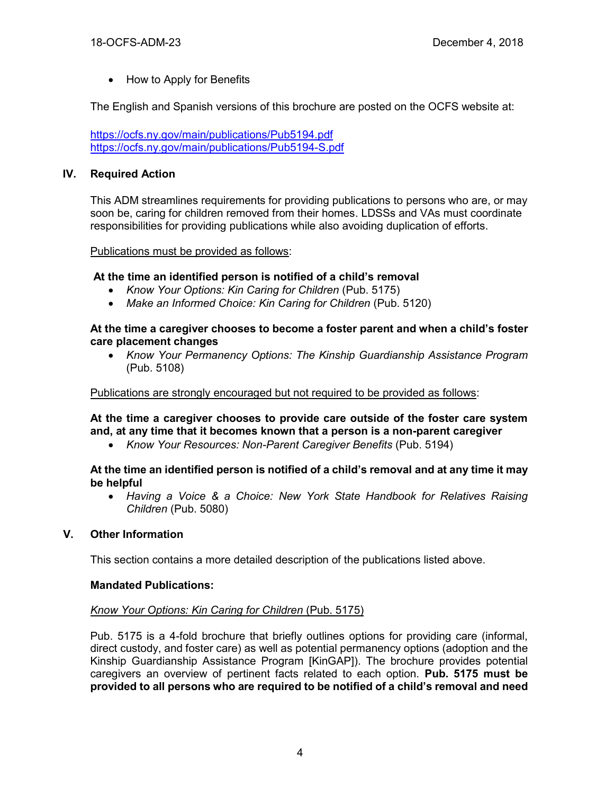• How to Apply for Benefits

The English and Spanish versions of this brochure are posted on the OCFS website at:

<https://ocfs.ny.gov/main/publications/Pub5194.pdf> <https://ocfs.ny.gov/main/publications/Pub5194-S.pdf>

## **IV. Required Action**

This ADM streamlines requirements for providing publications to persons who are, or may soon be, caring for children removed from their homes. LDSSs and VAs must coordinate responsibilities for providing publications while also avoiding duplication of efforts.

#### Publications must be provided as follows:

## **At the time an identified person is notified of a child's removal**

- *Know Your Options: Kin Caring for Children* (Pub. 5175)
- *Make an Informed Choice: Kin Caring for Children* (Pub. 5120)

#### **At the time a caregiver chooses to become a foster parent and when a child's foster care placement changes**

• *Know Your Permanency Options: The Kinship Guardianship Assistance Program* (Pub. 5108)

Publications are strongly encouraged but not required to be provided as follows:

**At the time a caregiver chooses to provide care outside of the foster care system and, at any time that it becomes known that a person is a non-parent caregiver**

• *Know Your Resources: Non-Parent Caregiver Benefits* (Pub. 5194)

#### **At the time an identified person is notified of a child's removal and at any time it may be helpful**

• *Having a Voice & a Choice: New York State Handbook for Relatives Raising Children* (Pub. 5080)

#### **V. Other Information**

This section contains a more detailed description of the publications listed above.

#### **Mandated Publications:**

#### *Know Your Options: Kin Caring for Children* (Pub. 5175)

Pub. 5175 is a 4-fold brochure that briefly outlines options for providing care (informal, direct custody, and foster care) as well as potential permanency options (adoption and the Kinship Guardianship Assistance Program [KinGAP]). The brochure provides potential caregivers an overview of pertinent facts related to each option. **Pub. 5175 must be provided to all persons who are required to be notified of a child's removal and need**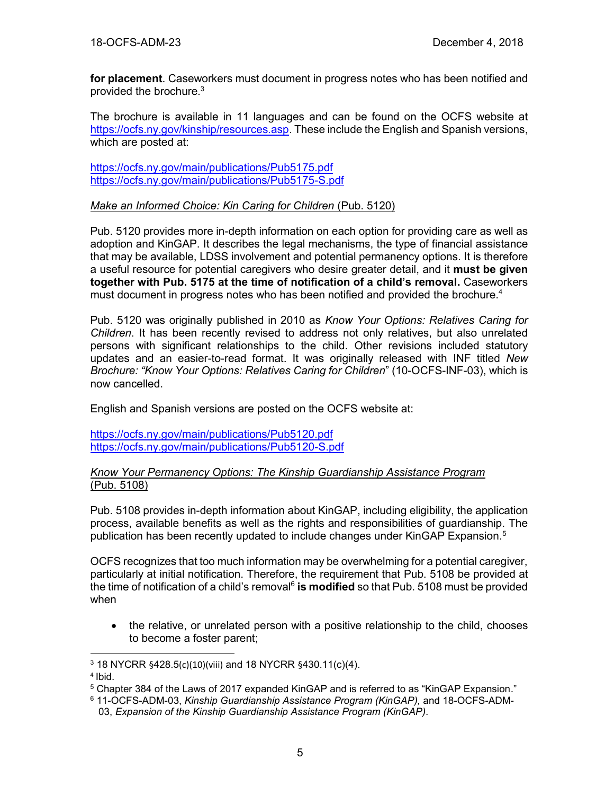**for placement**. Caseworkers must document in progress notes who has been notified and provided the brochure.<sup>3</sup>

The brochure is available in 11 languages and can be found on the OCFS website at [https://ocfs.ny.gov/kinship/resources.asp.](https://ocfs.ny.gov/kinship/resources.asp) These include the English and Spanish versions, which are posted at:

<https://ocfs.ny.gov/main/publications/Pub5175.pdf> <https://ocfs.ny.gov/main/publications/Pub5175-S.pdf>

#### *Make an Informed Choice: Kin Caring for Children* (Pub. 5120)

Pub. 5120 provides more in-depth information on each option for providing care as well as adoption and KinGAP. It describes the legal mechanisms, the type of financial assistance that may be available, LDSS involvement and potential permanency options. It is therefore a useful resource for potential caregivers who desire greater detail, and it **must be given together with Pub. 5175 at the time of notification of a child's removal.** Caseworkers must document in progress notes who has been notified and provided the brochure.<sup>4</sup>

Pub. 5120 was originally published in 2010 as *Know Your Options: Relatives Caring for Children*. It has been recently revised to address not only relatives, but also unrelated persons with significant relationships to the child. Other revisions included statutory updates and an easier-to-read format. It was originally released with INF titled *New Brochure: "Know Your Options: Relatives Caring for Children*" (10-OCFS-INF-03), which is now cancelled.

English and Spanish versions are posted on the OCFS website at:

<https://ocfs.ny.gov/main/publications/Pub5120.pdf> <https://ocfs.ny.gov/main/publications/Pub5120-S.pdf>

#### *Know Your Permanency Options: The Kinship Guardianship Assistance Program* (Pub. 5108)

Pub. 5108 provides in-depth information about KinGAP, including eligibility, the application process, available benefits as well as the rights and responsibilities of guardianship. The publication has been recently updated to include changes under KinGAP Expansion. 5

OCFS recognizes that too much information may be overwhelming for a potential caregiver, particularly at initial notification. Therefore, the requirement that Pub. 5108 be provided at the time of notification of a child's removal<sup>6</sup> is modified so that Pub. 5108 must be provided when

• the relative, or unrelated person with a positive relationship to the child, chooses to become a foster parent;

 $\overline{a}$ <sup>3</sup> 18 NYCRR §428.5(c)(10)(viii) and 18 NYCRR §430.11(c)(4).

<sup>4</sup> Ibid.

<sup>5</sup> Chapter 384 of the Laws of 2017 expanded KinGAP and is referred to as "KinGAP Expansion."

<sup>6</sup> 11-OCFS-ADM-03, *Kinship Guardianship Assistance Program (KinGAP),* and 18-OCFS-ADM- 03, *Expansion of the Kinship Guardianship Assistance Program (KinGAP)*.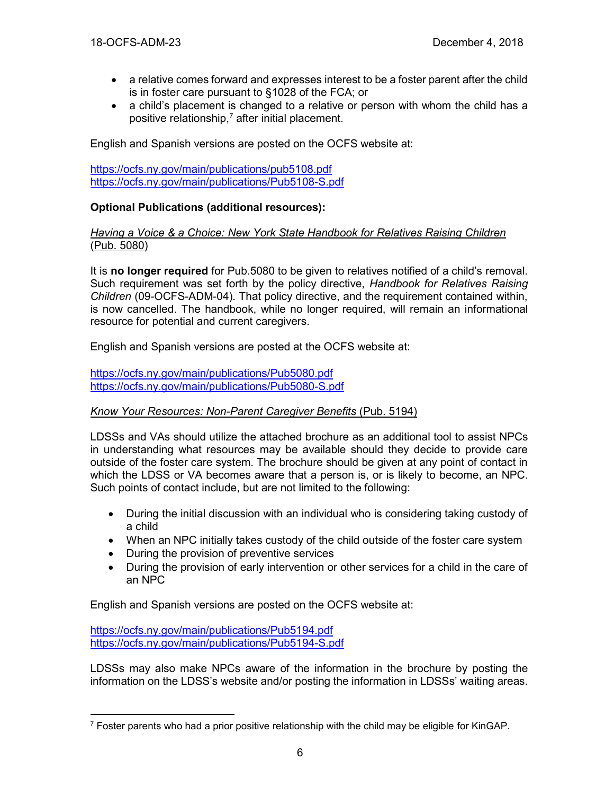- a relative comes forward and expresses interest to be a foster parent after the child is in foster care pursuant to §1028 of the FCA; or
- a child's placement is changed to a relative or person with whom the child has a positive relationship, $<sup>7</sup>$  after initial placement.</sup>

English and Spanish versions are posted on the OCFS website at:

<https://ocfs.ny.gov/main/publications/pub5108.pdf> <https://ocfs.ny.gov/main/publications/Pub5108-S.pdf>

## **Optional Publications (additional resources):**

#### *Having a Voice & a Choice: New York State Handbook for Relatives Raising Children* (Pub. 5080)

It is **no longer required** for Pub.5080 to be given to relatives notified of a child's removal. Such requirement was set forth by the policy directive, *Handbook for Relatives Raising Children* (09-OCFS-ADM-04). That policy directive, and the requirement contained within, is now cancelled. The handbook, while no longer required, will remain an informational resource for potential and current caregivers.

English and Spanish versions are posted at the OCFS website at:

<https://ocfs.ny.gov/main/publications/Pub5080.pdf> <https://ocfs.ny.gov/main/publications/Pub5080-S.pdf>

#### *Know Your Resources: Non-Parent Caregiver Benefits* (Pub. 5194)

LDSSs and VAs should utilize the attached brochure as an additional tool to assist NPCs in understanding what resources may be available should they decide to provide care outside of the foster care system. The brochure should be given at any point of contact in which the LDSS or VA becomes aware that a person is, or is likely to become, an NPC. Such points of contact include, but are not limited to the following:

- During the initial discussion with an individual who is considering taking custody of a child
- When an NPC initially takes custody of the child outside of the foster care system
- During the provision of preventive services
- During the provision of early intervention or other services for a child in the care of an NPC

English and Spanish versions are posted on the OCFS website at:

<https://ocfs.ny.gov/main/publications/Pub5194.pdf> <https://ocfs.ny.gov/main/publications/Pub5194-S.pdf>

 $\overline{a}$ 

LDSSs may also make NPCs aware of the information in the brochure by posting the information on the LDSS's website and/or posting the information in LDSSs' waiting areas.

 $7$  Foster parents who had a prior positive relationship with the child may be eligible for KinGAP.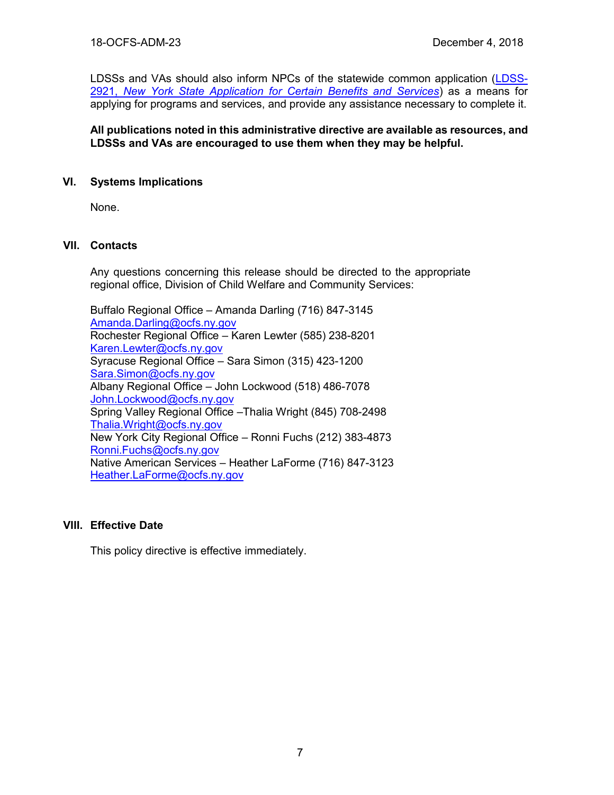LDSSs and VAs should also inform NPCs of the statewide common application [\(LDSS-](https://otda.ny.gov/programs/applications/2921.pdf)2921, *[New York State Application for Certain Benefits and Services](https://otda.ny.gov/programs/applications/2921.pdf)*) as a means for applying for programs and services, and provide any assistance necessary to complete it.

**All publications noted in this administrative directive are available as resources, and LDSSs and VAs are encouraged to use them when they may be helpful.**

## **VI. Systems Implications**

None.

## **VII. Contacts**

Any questions concerning this release should be directed to the appropriate regional office, Division of Child Welfare and Community Services:

Buffalo Regional Office – Amanda Darling (716) 847-3145 [Amanda.Darling@ocfs.ny.gov](mailto:Amanda.Darling@ocfs.ny.gov) Rochester Regional Office – Karen Lewter (585) 238-8201 [Karen.Lewter@ocfs.ny.gov](mailto:Karen.Lewter@ocfs.ny.gov) Syracuse Regional Office – Sara Simon (315) 423-1200 [Sara.Simon@ocfs.ny.gov](mailto:Sara.Simon@ocfs.ny.gov) Albany Regional Office – John Lockwood (518) 486-7078 [John.Lockwood@ocfs.ny.gov](mailto:John.Lockwood@ocfs.ny.gov) Spring Valley Regional Office –Thalia Wright (845) 708-2498 [Thalia.Wright@ocfs.ny.gov](file:///C:/Users/IT0420/AppData/Local/Microsoft/Windows/Temporary%20Internet%20Files/Content.IE5/MSXWIQ2G/Thalia.Wright@ocfs.ny.gov) New York City Regional Office – Ronni Fuchs (212) 383-4873 [Ronni.Fuchs@ocfs.ny.gov](mailto:Ronni.Fuchs@ocfs.ny.gov) Native American Services – Heather LaForme (716) 847-3123 [Heather.LaForme@ocfs.ny.gov](mailto:Heather.LaForme@ocfs.ny.gov)

#### **VIII. Effective Date**

This policy directive is effective immediately.